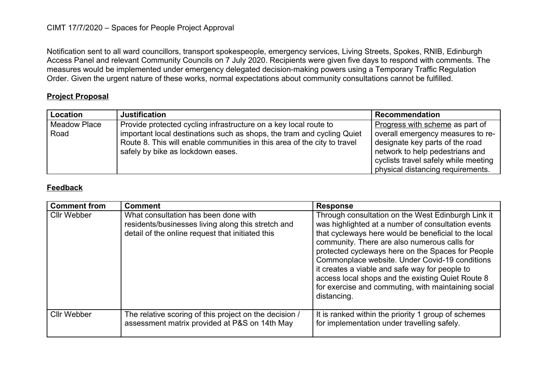## CIMT 17/7/2020 – Spaces for People Project Approval

Notification sent to all ward councillors, transport spokespeople, emergency services, Living Streets, Spokes, RNIB, Edinburgh Access Panel and relevant Community Councils on 7 July 2020. Recipients were given five days to respond with comments. The measures would be implemented under emergency delegated decision-making powers using a Temporary Traffic Regulation Order. Given the urgent nature of these works, normal expectations about community consultations cannot be fulfilled.

## **Project Proposal**

| <b>Location</b>     | <b>Justification</b>                                                                                                                               | <b>Recommendation</b>                                                |
|---------------------|----------------------------------------------------------------------------------------------------------------------------------------------------|----------------------------------------------------------------------|
| <b>Meadow Place</b> | Provide protected cycling infrastructure on a key local route to                                                                                   | Progress with scheme as part of                                      |
| Road                | important local destinations such as shops, the tram and cycling Quiet<br>Route 8. This will enable communities in this area of the city to travel | overall emergency measures to re-<br>designate key parts of the road |
|                     | safely by bike as lockdown eases.                                                                                                                  | network to help pedestrians and                                      |
|                     |                                                                                                                                                    | cyclists travel safely while meeting                                 |
|                     |                                                                                                                                                    | physical distancing requirements.                                    |

## **Feedback**

| <b>Comment from</b> | <b>Comment</b>                                                                                                                                 | <b>Response</b>                                                                                                                                                                                                                                                                                                                                                                                                                                                                                      |
|---------------------|------------------------------------------------------------------------------------------------------------------------------------------------|------------------------------------------------------------------------------------------------------------------------------------------------------------------------------------------------------------------------------------------------------------------------------------------------------------------------------------------------------------------------------------------------------------------------------------------------------------------------------------------------------|
| <b>Cllr Webber</b>  | What consultation has been done with<br>residents/businesses living along this stretch and<br>detail of the online request that initiated this | Through consultation on the West Edinburgh Link it<br>was highlighted at a number of consultation events<br>that cycleways here would be beneficial to the local<br>community. There are also numerous calls for<br>protected cycleways here on the Spaces for People<br>Commonplace website. Under Covid-19 conditions<br>it creates a viable and safe way for people to<br>access local shops and the existing Quiet Route 8<br>for exercise and commuting, with maintaining social<br>distancing. |
| <b>Cllr Webber</b>  | The relative scoring of this project on the decision /<br>assessment matrix provided at P&S on 14th May                                        | It is ranked within the priority 1 group of schemes<br>for implementation under travelling safely.                                                                                                                                                                                                                                                                                                                                                                                                   |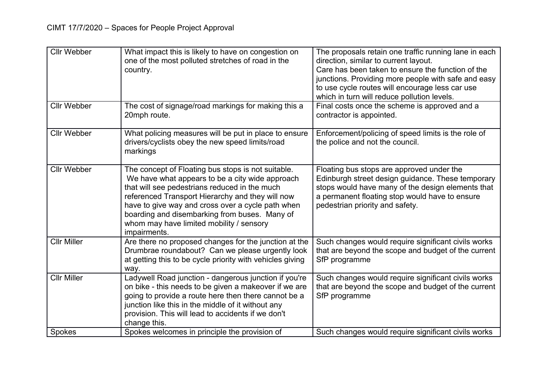| <b>Cllr Webber</b><br>The cost of signage/road markings for making this a<br>20mph route.<br>contractor is appointed.<br><b>Cllr Webber</b><br>What policing measures will be put in place to ensure<br>drivers/cyclists obey the new speed limits/road<br>the police and not the council.<br>markings<br><b>Cllr Webber</b><br>The concept of Floating bus stops is not suitable.<br>We have what appears to be a city wide approach<br>that will see pedestrians reduced in the much<br>referenced Transport Hierarchy and they will now<br>have to give way and cross over a cycle path when<br>pedestrian priority and safety.<br>boarding and disembarking from buses. Many of<br>whom may have limited mobility / sensory<br>impairments.<br>Are there no proposed changes for the junction at the<br><b>Cllr Miller</b><br>Drumbrae roundabout? Can we please urgently look<br>at getting this to be cycle priority with vehicles giving<br>SfP programme<br>way.<br><b>Cllr Miller</b><br>Ladywell Road junction - dangerous junction if you're<br>on bike - this needs to be given a makeover if we are | <b>Cllr Webber</b> | What impact this is likely to have on congestion on<br>one of the most polluted stretches of road in the<br>country. | The proposals retain one traffic running lane in each<br>direction, similar to current layout.<br>Care has been taken to ensure the function of the<br>junctions. Providing more people with safe and easy<br>to use cycle routes will encourage less car use<br>which in turn will reduce pollution levels. |
|------------------------------------------------------------------------------------------------------------------------------------------------------------------------------------------------------------------------------------------------------------------------------------------------------------------------------------------------------------------------------------------------------------------------------------------------------------------------------------------------------------------------------------------------------------------------------------------------------------------------------------------------------------------------------------------------------------------------------------------------------------------------------------------------------------------------------------------------------------------------------------------------------------------------------------------------------------------------------------------------------------------------------------------------------------------------------------------------------------------|--------------------|----------------------------------------------------------------------------------------------------------------------|--------------------------------------------------------------------------------------------------------------------------------------------------------------------------------------------------------------------------------------------------------------------------------------------------------------|
|                                                                                                                                                                                                                                                                                                                                                                                                                                                                                                                                                                                                                                                                                                                                                                                                                                                                                                                                                                                                                                                                                                                  |                    |                                                                                                                      | Final costs once the scheme is approved and a                                                                                                                                                                                                                                                                |
|                                                                                                                                                                                                                                                                                                                                                                                                                                                                                                                                                                                                                                                                                                                                                                                                                                                                                                                                                                                                                                                                                                                  |                    |                                                                                                                      | Enforcement/policing of speed limits is the role of                                                                                                                                                                                                                                                          |
|                                                                                                                                                                                                                                                                                                                                                                                                                                                                                                                                                                                                                                                                                                                                                                                                                                                                                                                                                                                                                                                                                                                  |                    |                                                                                                                      | Floating bus stops are approved under the<br>Edinburgh street design guidance. These temporary<br>stops would have many of the design elements that<br>a permanent floating stop would have to ensure                                                                                                        |
|                                                                                                                                                                                                                                                                                                                                                                                                                                                                                                                                                                                                                                                                                                                                                                                                                                                                                                                                                                                                                                                                                                                  |                    |                                                                                                                      | Such changes would require significant civils works<br>that are beyond the scope and budget of the current                                                                                                                                                                                                   |
| junction like this in the middle of it without any<br>provision. This will lead to accidents if we don't<br>change this.<br>Spokes welcomes in principle the provision of<br><b>Spokes</b>                                                                                                                                                                                                                                                                                                                                                                                                                                                                                                                                                                                                                                                                                                                                                                                                                                                                                                                       |                    | going to provide a route here then there cannot be a                                                                 | Such changes would require significant civils works<br>that are beyond the scope and budget of the current<br>SfP programme<br>Such changes would require significant civils works                                                                                                                           |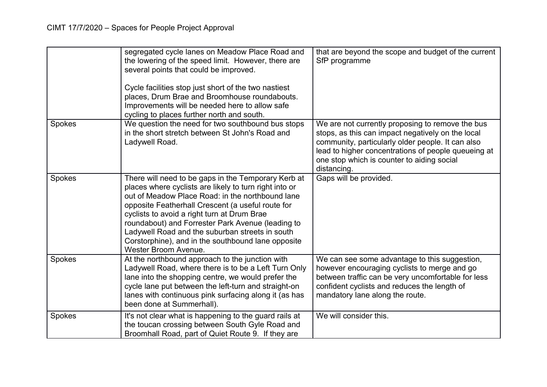|        | segregated cycle lanes on Meadow Place Road and<br>the lowering of the speed limit. However, there are<br>several points that could be improved.<br>Cycle facilities stop just short of the two nastiest<br>places, Drum Brae and Broomhouse roundabouts.<br>Improvements will be needed here to allow safe<br>cycling to places further north and south.                                                                                                          | that are beyond the scope and budget of the current<br>SfP programme                                                                                                                                                                                                           |
|--------|--------------------------------------------------------------------------------------------------------------------------------------------------------------------------------------------------------------------------------------------------------------------------------------------------------------------------------------------------------------------------------------------------------------------------------------------------------------------|--------------------------------------------------------------------------------------------------------------------------------------------------------------------------------------------------------------------------------------------------------------------------------|
| Spokes | We question the need for two southbound bus stops<br>in the short stretch between St John's Road and<br>Ladywell Road.                                                                                                                                                                                                                                                                                                                                             | We are not currently proposing to remove the bus<br>stops, as this can impact negatively on the local<br>community, particularly older people. It can also<br>lead to higher concentrations of people queueing at<br>one stop which is counter to aiding social<br>distancing. |
| Spokes | There will need to be gaps in the Temporary Kerb at<br>places where cyclists are likely to turn right into or<br>out of Meadow Place Road: in the northbound lane<br>opposite Featherhall Crescent (a useful route for<br>cyclists to avoid a right turn at Drum Brae<br>roundabout) and Forrester Park Avenue (leading to<br>Ladywell Road and the suburban streets in south<br>Corstorphine), and in the southbound lane opposite<br><b>Wester Broom Avenue.</b> | Gaps will be provided.                                                                                                                                                                                                                                                         |
| Spokes | At the northbound approach to the junction with<br>Ladywell Road, where there is to be a Left Turn Only<br>lane into the shopping centre, we would prefer the<br>cycle lane put between the left-turn and straight-on<br>lanes with continuous pink surfacing along it (as has<br>been done at Summerhall).                                                                                                                                                        | We can see some advantage to this suggestion,<br>however encouraging cyclists to merge and go<br>between traffic can be very uncomfortable for less<br>confident cyclists and reduces the length of<br>mandatory lane along the route.                                         |
| Spokes | It's not clear what is happening to the guard rails at<br>the toucan crossing between South Gyle Road and<br>Broomhall Road, part of Quiet Route 9. If they are                                                                                                                                                                                                                                                                                                    | We will consider this.                                                                                                                                                                                                                                                         |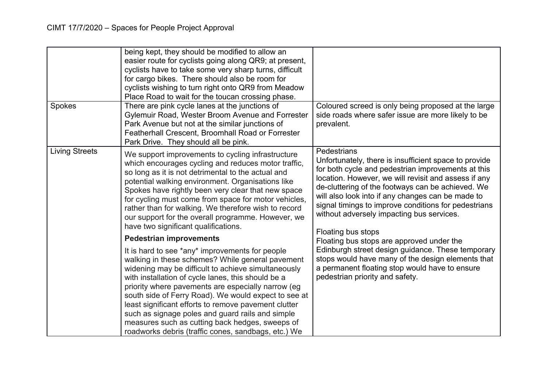| Spokes                | being kept, they should be modified to allow an<br>easier route for cyclists going along QR9; at present,<br>cyclists have to take some very sharp turns, difficult<br>for cargo bikes. There should also be room for<br>cyclists wishing to turn right onto QR9 from Meadow<br>Place Road to wait for the toucan crossing phase.<br>There are pink cycle lanes at the junctions of<br>Gylemuir Road, Wester Broom Avenue and Forrester<br>Park Avenue but not at the similar junctions of<br>Featherhall Crescent, Broomhall Road or Forrester      | Coloured screed is only being proposed at the large<br>side roads where safer issue are more likely to be<br>prevalent.                                                                                                                                                                                                                                                                                                 |
|-----------------------|------------------------------------------------------------------------------------------------------------------------------------------------------------------------------------------------------------------------------------------------------------------------------------------------------------------------------------------------------------------------------------------------------------------------------------------------------------------------------------------------------------------------------------------------------|-------------------------------------------------------------------------------------------------------------------------------------------------------------------------------------------------------------------------------------------------------------------------------------------------------------------------------------------------------------------------------------------------------------------------|
|                       | Park Drive. They should all be pink.                                                                                                                                                                                                                                                                                                                                                                                                                                                                                                                 |                                                                                                                                                                                                                                                                                                                                                                                                                         |
| <b>Living Streets</b> | We support improvements to cycling infrastructure<br>which encourages cycling and reduces motor traffic,<br>so long as it is not detrimental to the actual and<br>potential walking environment. Organisations like<br>Spokes have rightly been very clear that new space<br>for cycling must come from space for motor vehicles,<br>rather than for walking. We therefore wish to record<br>our support for the overall programme. However, we<br>have two significant qualifications.                                                              | Pedestrians<br>Unfortunately, there is insufficient space to provide<br>for both cycle and pedestrian improvements at this<br>location. However, we will revisit and assess if any<br>de-cluttering of the footways can be achieved. We<br>will also look into if any changes can be made to<br>signal timings to improve conditions for pedestrians<br>without adversely impacting bus services.<br>Floating bus stops |
|                       | <b>Pedestrian improvements</b>                                                                                                                                                                                                                                                                                                                                                                                                                                                                                                                       | Floating bus stops are approved under the                                                                                                                                                                                                                                                                                                                                                                               |
|                       | It is hard to see *any* improvements for people<br>walking in these schemes? While general pavement<br>widening may be difficult to achieve simultaneously<br>with installation of cycle lanes, this should be a<br>priority where pavements are especially narrow (eg<br>south side of Ferry Road). We would expect to see at<br>least significant efforts to remove pavement clutter<br>such as signage poles and guard rails and simple<br>measures such as cutting back hedges, sweeps of<br>roadworks debris (traffic cones, sandbags, etc.) We | Edinburgh street design guidance. These temporary<br>stops would have many of the design elements that<br>a permanent floating stop would have to ensure<br>pedestrian priority and safety.                                                                                                                                                                                                                             |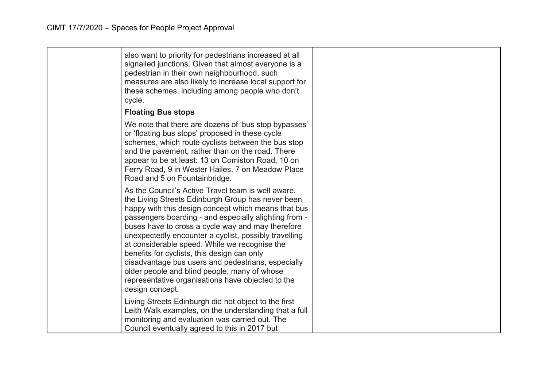| also want to priority for pedestrians increased at all<br>signalled junctions. Given that almost everyone is a<br>pedestrian in their own neighbourhood, such<br>measures are also likely to increase local support for<br>these schemes, including among people who don't<br>cycle.                                                                                                                                                                                                                                                                                                                                |  |
|---------------------------------------------------------------------------------------------------------------------------------------------------------------------------------------------------------------------------------------------------------------------------------------------------------------------------------------------------------------------------------------------------------------------------------------------------------------------------------------------------------------------------------------------------------------------------------------------------------------------|--|
| <b>Floating Bus stops</b>                                                                                                                                                                                                                                                                                                                                                                                                                                                                                                                                                                                           |  |
| We note that there are dozens of 'bus stop bypasses'<br>or 'floating bus stops' proposed in these cycle<br>schemes, which route cyclists between the bus stop<br>and the pavement, rather than on the road. There<br>appear to be at least: 13 on Comiston Road, 10 on<br>Ferry Road, 9 in Wester Hailes, 7 on Meadow Place<br>Road and 5 on Fountainbridge.                                                                                                                                                                                                                                                        |  |
| As the Council's Active Travel team is well aware,<br>the Living Streets Edinburgh Group has never been<br>happy with this design concept which means that bus<br>passengers boarding - and especially alighting from -<br>buses have to cross a cycle way and may therefore<br>unexpectedly encounter a cyclist, possibly travelling<br>at considerable speed. While we recognise the<br>benefits for cyclists, this design can only<br>disadvantage bus users and pedestrians, especially<br>older people and blind people, many of whose<br>representative organisations have objected to the<br>design concept. |  |
| Living Streets Edinburgh did not object to the first<br>Leith Walk examples, on the understanding that a full<br>monitoring and evaluation was carried out. The<br>Council eventually agreed to this in 2017 but                                                                                                                                                                                                                                                                                                                                                                                                    |  |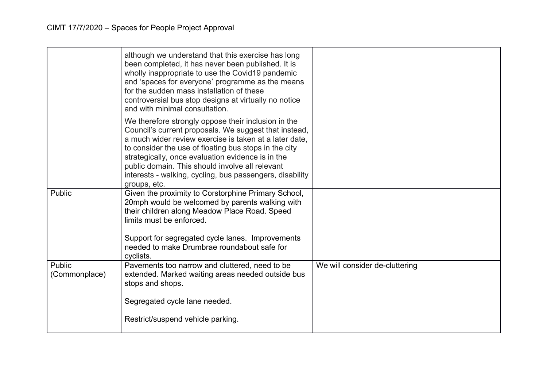|                         | although we understand that this exercise has long<br>been completed, it has never been published. It is<br>wholly inappropriate to use the Covid19 pandemic<br>and 'spaces for everyone' programme as the means<br>for the sudden mass installation of these<br>controversial bus stop designs at virtually no notice<br>and with minimal consultation.                                                            |                                |
|-------------------------|---------------------------------------------------------------------------------------------------------------------------------------------------------------------------------------------------------------------------------------------------------------------------------------------------------------------------------------------------------------------------------------------------------------------|--------------------------------|
|                         | We therefore strongly oppose their inclusion in the<br>Council's current proposals. We suggest that instead,<br>a much wider review exercise is taken at a later date.<br>to consider the use of floating bus stops in the city<br>strategically, once evaluation evidence is in the<br>public domain. This should involve all relevant<br>interests - walking, cycling, bus passengers, disability<br>groups, etc. |                                |
| Public                  | Given the proximity to Corstorphine Primary School,<br>20mph would be welcomed by parents walking with<br>their children along Meadow Place Road. Speed<br>limits must be enforced.<br>Support for segregated cycle lanes. Improvements<br>needed to make Drumbrae roundabout safe for<br>cyclists.                                                                                                                 |                                |
| Public<br>(Commonplace) | Pavements too narrow and cluttered, need to be<br>extended. Marked waiting areas needed outside bus<br>stops and shops.<br>Segregated cycle lane needed.                                                                                                                                                                                                                                                            | We will consider de-cluttering |
|                         | Restrict/suspend vehicle parking.                                                                                                                                                                                                                                                                                                                                                                                   |                                |